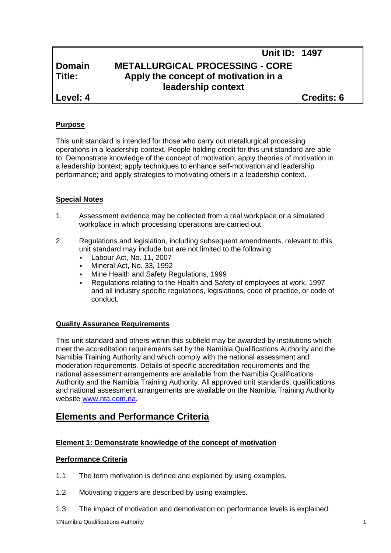# **Unit ID: 1497 Domain METALLURGICAL PROCESSING - CORE Title: Apply the concept of motivation in a leadership context**

**Level: 4 Credits: 6**

## **Purpose**

This unit standard is intended for those who carry out metallurgical processing operations in a leadership context. People holding credit for this unit standard are able to: Demonstrate knowledge of the concept of motivation; apply theories of motivation in a leadership context; apply techniques to enhance self-motivation and leadership performance; and apply strategies to motivating others in a leadership context.

### **Special Notes**

- 1. Assessment evidence may be collected from a real workplace or a simulated workplace in which processing operations are carried out.
- 2. Regulations and legislation, including subsequent amendments, relevant to this unit standard may include but are not limited to the following:
	- Labour Act, No. 11, 2007
	- Mineral Act, No. 33, 1992
	- Mine Health and Safety Regulations, 1999
	- Regulations relating to the Health and Safety of employees at work, 1997 and all industry specific regulations, legislations, code of practice, or code of conduct.

#### **Quality Assurance Requirements**

This unit standard and others within this subfield may be awarded by institutions which meet the accreditation requirements set by the Namibia Qualifications Authority and the Namibia Training Authority and which comply with the national assessment and moderation requirements. Details of specific accreditation requirements and the national assessment arrangements are available from the Namibia Qualifications Authority and the Namibia Training Authority. All approved unit standards, qualifications and national assessment arrangements are available on the Namibia Training Authority website www.nta.com.na.

## **Elements and Performance Criteria**

## **Element 1: Demonstrate knowledge of the concept of motivation**

#### **Performance Criteria**

- 1.1 The term motivation is defined and explained by using examples.
- 1.2 Motivating triggers are described by using examples.
- 1.3 The impact of motivation and demotivation on performance levels is explained.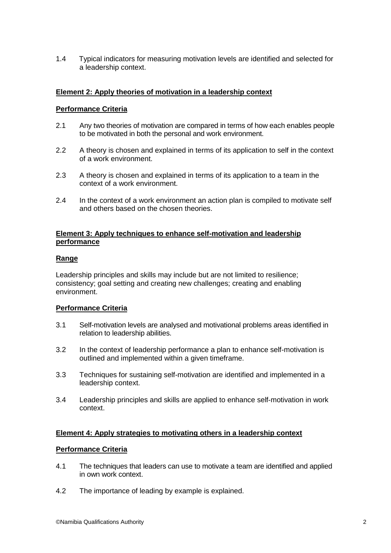1.4 Typical indicators for measuring motivation levels are identified and selected for a leadership context.

#### **Element 2: Apply theories of motivation in a leadership context**

#### **Performance Criteria**

- 2.1 Any two theories of motivation are compared in terms of how each enables people to be motivated in both the personal and work environment.
- 2.2 A theory is chosen and explained in terms of its application to self in the context of a work environment.
- 2.3 A theory is chosen and explained in terms of its application to a team in the context of a work environment.
- 2.4 In the context of a work environment an action plan is compiled to motivate self and others based on the chosen theories.

#### **Element 3: Apply techniques to enhance self-motivation and leadership performance**

#### **Range**

Leadership principles and skills may include but are not limited to resilience; consistency; goal setting and creating new challenges; creating and enabling environment.

#### **Performance Criteria**

- 3.1 Self-motivation levels are analysed and motivational problems areas identified in relation to leadership abilities.
- 3.2 In the context of leadership performance a plan to enhance self-motivation is outlined and implemented within a given timeframe.
- 3.3 Techniques for sustaining self-motivation are identified and implemented in a leadership context.
- 3.4 Leadership principles and skills are applied to enhance self-motivation in work context.

### **Element 4: Apply strategies to motivating others in a leadership context**

#### **Performance Criteria**

- 4.1 The techniques that leaders can use to motivate a team are identified and applied in own work context.
- 4.2 The importance of leading by example is explained.